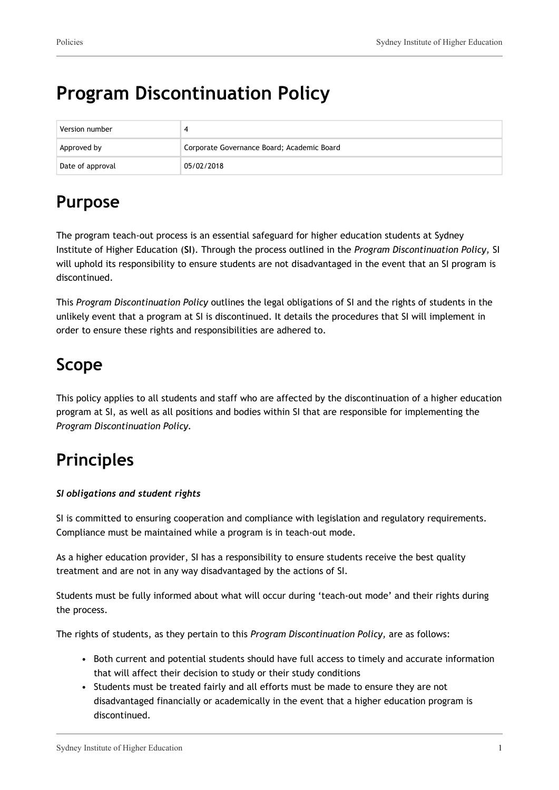# **Program Discontinuation Policy**

| Version number   |                                            |
|------------------|--------------------------------------------|
| Approved by      | Corporate Governance Board; Academic Board |
| Date of approval | 05/02/2018                                 |

## **Purpose**

The program teach-out process is an essential safeguard for higher education students at Sydney Institute of Higher Education (**SI**). Through the process outlined in the *Program Discontinuation Policy,* SI will uphold its responsibility to ensure students are not disadvantaged in the event that an SI program is discontinued.

This *Program Discontinuation Policy* outlines the legal obligations of SI and the rights of students in the unlikely event that a program at SI is discontinued. It details the procedures that SI will implement in order to ensure these rights and responsibilities are adhered to.

# **Scope**

This policy applies to all students and staff who are affected by the discontinuation of a higher education program at SI, as well as all positions and bodies within SI that are responsible for implementing the *Program Discontinuation Policy.*

# **Principles**

## *SI obligations and student rights*

SI is committed to ensuring cooperation and compliance with legislation and regulatory requirements. Compliance must be maintained while a program is in teach-out mode.

As a higher education provider, SI has a responsibility to ensure students receive the best quality treatment and are not in any way disadvantaged by the actions of SI.

Students must be fully informed about what will occur during 'teach-out mode' and their rights during the process.

The rights of students, as they pertain to this *Program Discontinuation Policy,* are as follows:

- Both current and potential students should have full access to timely and accurate information that will affect their decision to study or their study conditions
- Students must be treated fairly and all efforts must be made to ensure they are not disadvantaged financially or academically in the event that a higher education program is discontinued.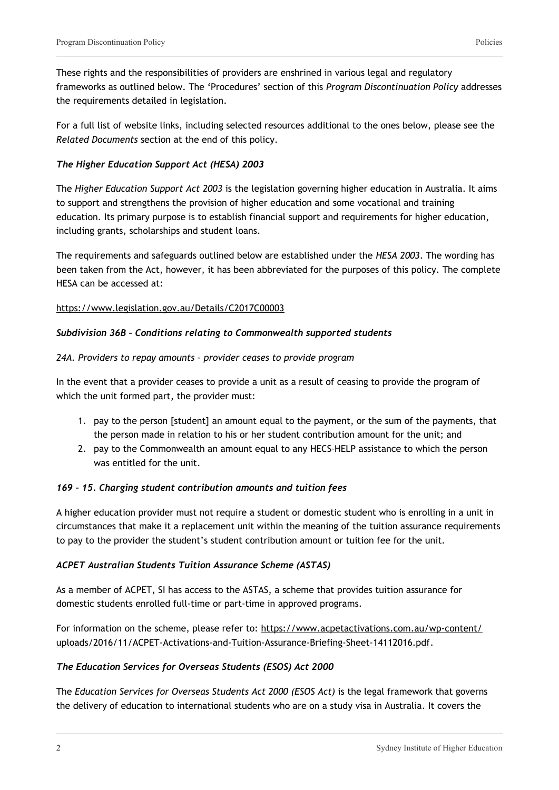These rights and the responsibilities of providers are enshrined in various legal and regulatory frameworks as outlined below. The 'Procedures' section of this *Program Discontinuation Policy* addresses the requirements detailed in legislation.

For a full list of website links, including selected resources additional to the ones below, please see the *Related Documents* section at the end of this policy.

### *The Higher Education Support Act (HESA) 2003*

The *Higher Education Support Act 2003* is the legislation governing higher education in Australia. It aims to support and strengthens the provision of higher education and some vocational and training education. Its primary purpose is to establish financial support and requirements for higher education, including grants, scholarships and student loans.

The requirements and safeguards outlined below are established under the *HESA 2003*. The wording has been taken from the Act, however, it has been abbreviated for the purposes of this policy. The complete HESA can be accessed at:

### <https://www.legislation.gov.au/Details/C2017C00003>

#### *Subdivision 36B – Conditions relating to Commonwealth supported students*

#### *24A. Providers to repay amounts – provider ceases to provide program*

In the event that a provider ceases to provide a unit as a result of ceasing to provide the program of which the unit formed part, the provider must:

- 1. pay to the person [student] an amount equal to the payment, or the sum of the payments, that the person made in relation to his or her student contribution amount for the unit; and
- 2. pay to the Commonwealth an amount equal to any HECS-HELP assistance to which the person was entitled for the unit.

#### *169 – 15. Charging student contribution amounts and tuition fees*

A higher education provider must not require a student or domestic student who is enrolling in a unit in circumstances that make it a replacement unit within the meaning of the tuition assurance requirements to pay to the provider the student's student contribution amount or tuition fee for the unit.

#### *ACPET Australian Students Tuition Assurance Scheme (ASTAS)*

As a member of ACPET, SI has access to the ASTAS, a scheme that provides tuition assurance for domestic students enrolled full-time or part-time in approved programs.

For information on the scheme, please refer to: [https://www.acpetactivations.com.au/wp-content/](https://www.acpetactivations.com.au/wp-content/uploads/2016/11/ACPET-Activations-and-Tuition-Assurance-Briefing-Sheet-14112016.pdf) [uploads/2016/11/ACPET-Activations-and-Tuition-Assurance-Briefing-Sheet-14112016.pdf](https://www.acpetactivations.com.au/wp-content/uploads/2016/11/ACPET-Activations-and-Tuition-Assurance-Briefing-Sheet-14112016.pdf).

### *The Education Services for Overseas Students (ESOS) Act 2000*

The *Education Services for Overseas Students Act 2000 (ESOS Act)* is the legal framework that governs the delivery of education to international students who are on a study visa in Australia. It covers the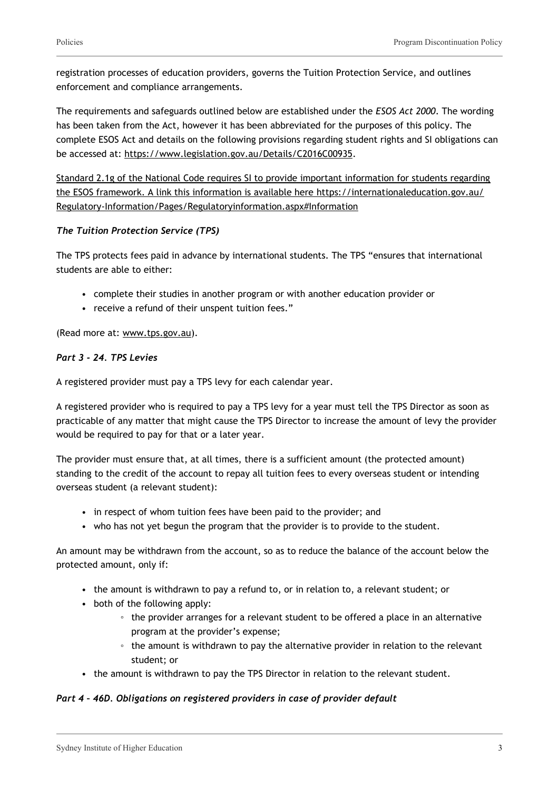registration processes of education providers, governs the Tuition Protection Service, and outlines enforcement and compliance arrangements.

The requirements and safeguards outlined below are established under the *ESOS Act 2000*. The wording has been taken from the Act, however it has been abbreviated for the purposes of this policy. The complete ESOS Act and details on the following provisions regarding student rights and SI obligations can be accessed at: [https://www.legislation.gov.au/Details/C2016C00935.](https://www.legislation.gov.au/Details/C2016C00935)

Standard 2.1g of the National Code requires SI to provide important information for students regarding the ESOS framework. A link this information is available here https://internationaleducation.gov.au/ Regulatory-Information/Pages/Regulatoryinformation.aspx#Information

## *The Tuition Protection Service (TPS)*

The TPS protects fees paid in advance by international students. The TPS "ensures that international students are able to either:

- complete their studies in another program or with another education provider or
- receive a refund of their unspent tuition fees."

(Read more at: [www.tps.gov.au\)](http://www.tps.gov.au/).

## *Part 3 - 24. TPS Levies*

A registered provider must pay a TPS levy for each calendar year.

A registered provider who is required to pay a TPS levy for a year must tell the TPS Director as soon as practicable of any matter that might cause the TPS Director to increase the amount of levy the provider would be required to pay for that or a later year.

The provider must ensure that, at all times, there is a sufficient amount (the protected amount) standing to the credit of the account to repay all tuition fees to every overseas student or intending overseas student (a relevant student):

- in respect of whom tuition fees have been paid to the provider; and
- who has not yet begun the program that the provider is to provide to the student.

An amount may be withdrawn from the account, so as to reduce the balance of the account below the protected amount, only if:

- the amount is withdrawn to pay a refund to, or in relation to, a relevant student; or
- both of the following apply:
	- the provider arranges for a relevant student to be offered a place in an alternative program at the provider's expense;
	- the amount is withdrawn to pay the alternative provider in relation to the relevant student; or
- the amount is withdrawn to pay the TPS Director in relation to the relevant student.

## *Part 4 – 46D. Obligations on registered providers in case of provider default*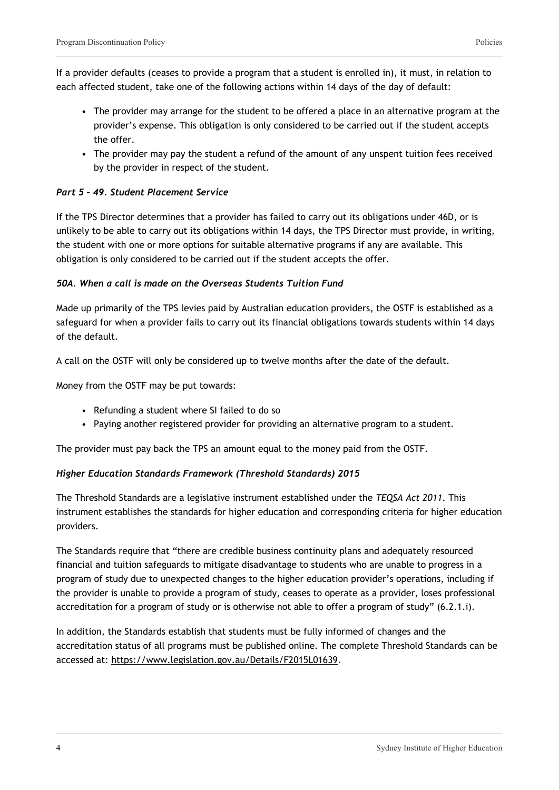If a provider defaults (ceases to provide a program that a student is enrolled in), it must, in relation to each affected student, take one of the following actions within 14 days of the day of default:

- The provider may arrange for the student to be offered a place in an alternative program at the provider's expense. This obligation is only considered to be carried out if the student accepts the offer.
- The provider may pay the student a refund of the amount of any unspent tuition fees received by the provider in respect of the student.

## *Part 5 – 49. Student Placement Service*

If the TPS Director determines that a provider has failed to carry out its obligations under 46D, or is unlikely to be able to carry out its obligations within 14 days, the TPS Director must provide, in writing, the student with one or more options for suitable alternative programs if any are available. This obligation is only considered to be carried out if the student accepts the offer.

### *50A. When a call is made on the Overseas Students Tuition Fund*

Made up primarily of the TPS levies paid by Australian education providers, the OSTF is established as a safeguard for when a provider fails to carry out its financial obligations towards students within 14 days of the default.

A call on the OSTF will only be considered up to twelve months after the date of the default.

Money from the OSTF may be put towards:

- Refunding a student where SI failed to do so
- Paying another registered provider for providing an alternative program to a student.

The provider must pay back the TPS an amount equal to the money paid from the OSTF.

### *Higher Education Standards Framework (Threshold Standards) 2015*

The Threshold Standards are a legislative instrument established under the *TEQSA Act 2011*. This instrument establishes the standards for higher education and corresponding criteria for higher education providers.

The Standards require that "there are credible business continuity plans and adequately resourced financial and tuition safeguards to mitigate disadvantage to students who are unable to progress in a program of study due to unexpected changes to the higher education provider's operations, including if the provider is unable to provide a program of study, ceases to operate as a provider, loses professional accreditation for a program of study or is otherwise not able to offer a program of study" (6.2.1.i).

In addition, the Standards establish that students must be fully informed of changes and the accreditation status of all programs must be published online. The complete Threshold Standards can be accessed at: [https://www.legislation.gov.au/Details/F2015L01639.](https://www.legislation.gov.au/Details/F2015L01639)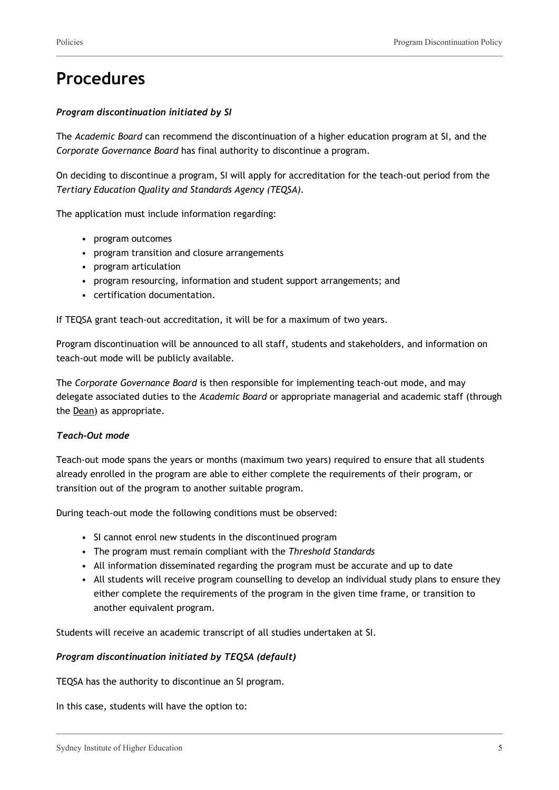## **Procedures**

#### *Program discontinuation initiated by SI*

The *Academic Board* can recommend the discontinuation of a higher education program at SI, and the *Corporate Governance Board* has final authority to discontinue a program.

On deciding to discontinue a program, SI will apply for accreditation for the teach-out period from the *Tertiary Education Quality and Standards Agency (TEQSA).*

The application must include information regarding:

- program outcomes
- program transition and closure arrangements
- program articulation
- program resourcing, information and student support arrangements; and
- certification documentation.

If TEQSA grant teach-out accreditation, it will be for a maximum of two years.

Program discontinuation will be announced to all staff, students and stakeholders, and information on teach-out mode will be publicly available.

The *Corporate Governance Board* is then responsible for implementing teach-out mode, and may delegate associated duties to the *Academic Board* or appropriate managerial and academic staff (through the Dean) as appropriate.

#### *Teach-Out mode*

Teach-out mode spans the years or months (maximum two years) required to ensure that all students already enrolled in the program are able to either complete the requirements of their program, or transition out of the program to another suitable program.

During teach-out mode the following conditions must be observed:

- SI cannot enrol new students in the discontinued program
- The program must remain compliant with the *Threshold Standards*
- All information disseminated regarding the program must be accurate and up to date
- All students will receive program counselling to develop an individual study plans to ensure they either complete the requirements of the program in the given time frame, or transition to another equivalent program.

Students will receive an academic transcript of all studies undertaken at SI.

#### *Program discontinuation initiated by TEQSA (default)*

TEQSA has the authority to discontinue an SI program.

In this case, students will have the option to: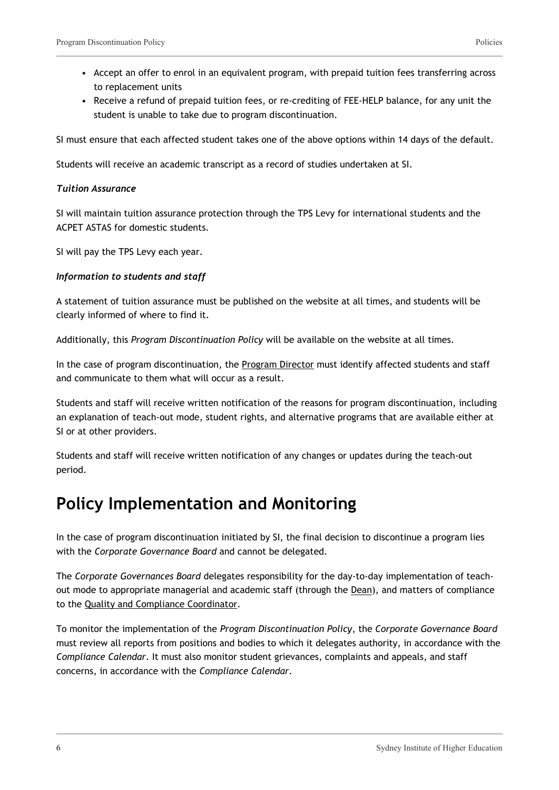- Accept an offer to enrol in an equivalent program, with prepaid tuition fees transferring across to replacement units
- Receive a refund of prepaid tuition fees, or re-crediting of FEE-HELP balance, for any unit the student is unable to take due to program discontinuation.

SI must ensure that each affected student takes one of the above options within 14 days of the default.

Students will receive an academic transcript as a record of studies undertaken at SI.

#### *Tuition Assurance*

SI will maintain tuition assurance protection through the TPS Levy for international students and the ACPET ASTAS for domestic students.

SI will pay the TPS Levy each year.

#### *Information to students and staff*

A statement of tuition assurance must be published on the website at all times, and students will be clearly informed of where to find it.

Additionally, this *Program Discontinuation Policy* will be available on the website at all times.

In the case of program discontinuation, the Program Director must identify affected students and staff and communicate to them what will occur as a result.

Students and staff will receive written notification of the reasons for program discontinuation, including an explanation of teach-out mode, student rights, and alternative programs that are available either at SI or at other providers.

Students and staff will receive written notification of any changes or updates during the teach-out period.

## **Policy Implementation and Monitoring**

In the case of program discontinuation initiated by SI, the final decision to discontinue a program lies with the *Corporate Governance Board* and cannot be delegated.

The *Corporate Governances Board* delegates responsibility for the day-to-day implementation of teachout mode to appropriate managerial and academic staff (through the Dean), and matters of compliance to the Quality and Compliance Coordinator.

To monitor the implementation of the *Program Discontinuation Policy*, the *Corporate Governance Board* must review all reports from positions and bodies to which it delegates authority, in accordance with the *Compliance Calendar*. It must also monitor student grievances, complaints and appeals, and staff concerns, in accordance with the *Compliance Calendar*.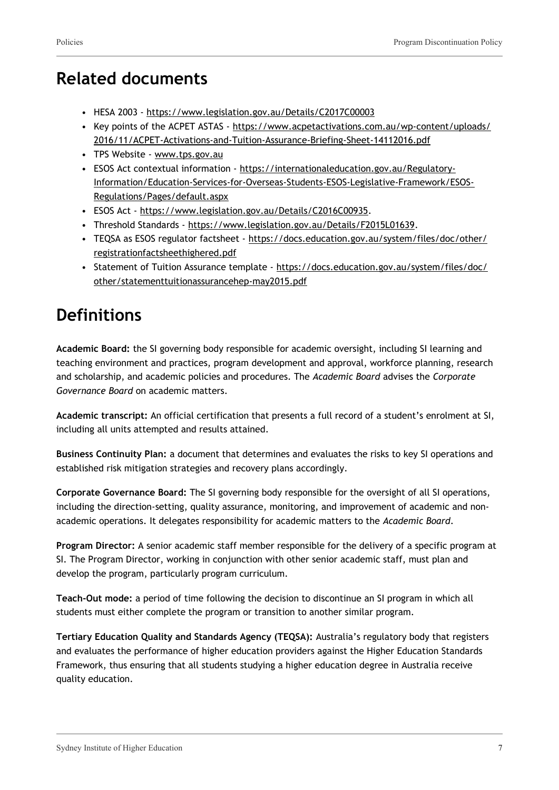## **Related documents**

- HESA 2003 <https://www.legislation.gov.au/Details/C2017C00003>
- Key points of the ACPET ASTAS [https://www.acpetactivations.com.au/wp-content/uploads/](https://www.acpetactivations.com.au/wp-content/uploads/2016/11/ACPET-Activations-and-Tuition-Assurance-Briefing-Sheet-14112016.pdf) [2016/11/ACPET-Activations-and-Tuition-Assurance-Briefing-Sheet-14112016.pdf](https://www.acpetactivations.com.au/wp-content/uploads/2016/11/ACPET-Activations-and-Tuition-Assurance-Briefing-Sheet-14112016.pdf)
- TPS Website [www.tps.gov.au](http://www.tps.gov.au/)
- ESOS Act contextual information [https://internationaleducation.gov.au/Regulatory-](https://internationaleducation.gov.au/Regulatory-Information/Education-Services-for-Overseas-Students-ESOS-Legislative-Framework/ESOS-Regulations/Pages/default.aspx)[Information/Education-Services-for-Overseas-Students-ESOS-Legislative-Framework/ESOS-](https://internationaleducation.gov.au/Regulatory-Information/Education-Services-for-Overseas-Students-ESOS-Legislative-Framework/ESOS-Regulations/Pages/default.aspx)[Regulations/Pages/default.aspx](https://internationaleducation.gov.au/Regulatory-Information/Education-Services-for-Overseas-Students-ESOS-Legislative-Framework/ESOS-Regulations/Pages/default.aspx)
- ESOS Act <https://www.legislation.gov.au/Details/C2016C00935>.
- Threshold Standards [https://www.legislation.gov.au/Details/F2015L01639.](https://www.legislation.gov.au/Details/F2015L01639)
- TEQSA as ESOS regulator factsheet [https://docs.education.gov.au/system/files/doc/other/](https://docs.education.gov.au/system/files/doc/other/registrationfactsheethighered.pdf) [registrationfactsheethighered.pdf](https://docs.education.gov.au/system/files/doc/other/registrationfactsheethighered.pdf)
- Statement of Tuition Assurance template [https://docs.education.gov.au/system/files/doc/](https://docs.education.gov.au/system/files/doc/other/statementtuitionassurancehep-may2015.pdf) [other/statementtuitionassurancehep-may2015.pdf](https://docs.education.gov.au/system/files/doc/other/statementtuitionassurancehep-may2015.pdf)

# **Definitions**

**Academic Board:** the SI governing body responsible for academic oversight, including SI learning and teaching environment and practices, program development and approval, workforce planning, research and scholarship, and academic policies and procedures. The *Academic Board* advises the *Corporate Governance Board* on academic matters.

**Academic transcript:** An official certification that presents a full record of a student's enrolment at SI, including all units attempted and results attained.

**Business Continuity Plan:** a document that determines and evaluates the risks to key SI operations and established risk mitigation strategies and recovery plans accordingly.

**Corporate Governance Board:** The SI governing body responsible for the oversight of all SI operations, including the direction-setting, quality assurance, monitoring, and improvement of academic and nonacademic operations. It delegates responsibility for academic matters to the *Academic Board*.

**Program Director:** A senior academic staff member responsible for the delivery of a specific program at SI. The Program Director, working in conjunction with other senior academic staff, must plan and develop the program, particularly program curriculum.

**Teach-Out mode:** a period of time following the decision to discontinue an SI program in which all students must either complete the program or transition to another similar program.

**Tertiary Education Quality and Standards Agency (TEQSA):** Australia's regulatory body that registers and evaluates the performance of higher education providers against the Higher Education Standards Framework, thus ensuring that all students studying a higher education degree in Australia receive quality education.